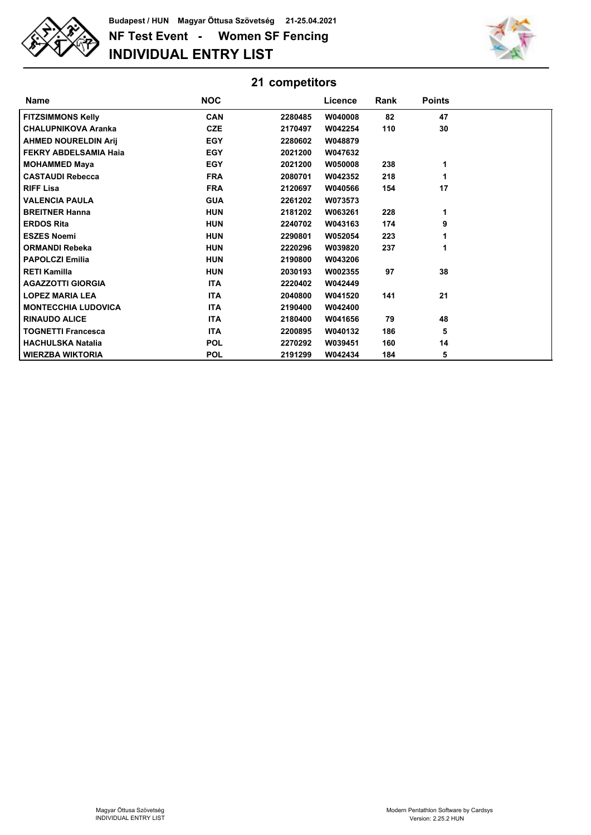

## **NF Test Event - Women SF Fencing INDIVIDUAL ENTRY LIST Budapest / HUN Magyar Öttusa Szövetség 21-25.04.2021**



| 21 competitors               |            |         |         |      |               |  |
|------------------------------|------------|---------|---------|------|---------------|--|
| <b>Name</b>                  | <b>NOC</b> |         | Licence | Rank | <b>Points</b> |  |
| <b>FITZSIMMONS Kelly</b>     | <b>CAN</b> | 2280485 | W040008 | 82   | 47            |  |
| <b>CHALUPNIKOVA Aranka</b>   | <b>CZE</b> | 2170497 | W042254 | 110  | 30            |  |
| <b>AHMED NOURELDIN Arij</b>  | <b>EGY</b> | 2280602 | W048879 |      |               |  |
| <b>FEKRY ABDELSAMIA Haja</b> | <b>EGY</b> | 2021200 | W047632 |      |               |  |
| <b>MOHAMMED Maya</b>         | <b>EGY</b> | 2021200 | W050008 | 238  | 1             |  |
| <b>CASTAUDI Rebecca</b>      | <b>FRA</b> | 2080701 | W042352 | 218  | 1             |  |
| <b>RIFF Lisa</b>             | <b>FRA</b> | 2120697 | W040566 | 154  | 17            |  |
| <b>VALENCIA PAULA</b>        | <b>GUA</b> | 2261202 | W073573 |      |               |  |
| <b>BREITNER Hanna</b>        | <b>HUN</b> | 2181202 | W063261 | 228  | 1             |  |
| <b>ERDOS Rita</b>            | <b>HUN</b> | 2240702 | W043163 | 174  | 9             |  |
| <b>ESZES Noemi</b>           | <b>HUN</b> | 2290801 | W052054 | 223  |               |  |
| <b>ORMANDI Rebeka</b>        | <b>HUN</b> | 2220296 | W039820 | 237  | 1             |  |
| <b>PAPOLCZI Emilia</b>       | <b>HUN</b> | 2190800 | W043206 |      |               |  |
| <b>RETI Kamilla</b>          | <b>HUN</b> | 2030193 | W002355 | 97   | 38            |  |
| <b>AGAZZOTTI GIORGIA</b>     | <b>ITA</b> | 2220402 | W042449 |      |               |  |
| <b>LOPEZ MARIA LEA</b>       | <b>ITA</b> | 2040800 | W041520 | 141  | 21            |  |
| <b>MONTECCHIA LUDOVICA</b>   | <b>ITA</b> | 2190400 | W042400 |      |               |  |
| <b>RINAUDO ALICE</b>         | <b>ITA</b> | 2180400 | W041656 | 79   | 48            |  |
| <b>TOGNETTI Francesca</b>    | <b>ITA</b> | 2200895 | W040132 | 186  | 5             |  |
| <b>HACHULSKA Natalia</b>     | <b>POL</b> | 2270292 | W039451 | 160  | 14            |  |
| <b>WIERZBA WIKTORIA</b>      | <b>POL</b> | 2191299 | W042434 | 184  | 5             |  |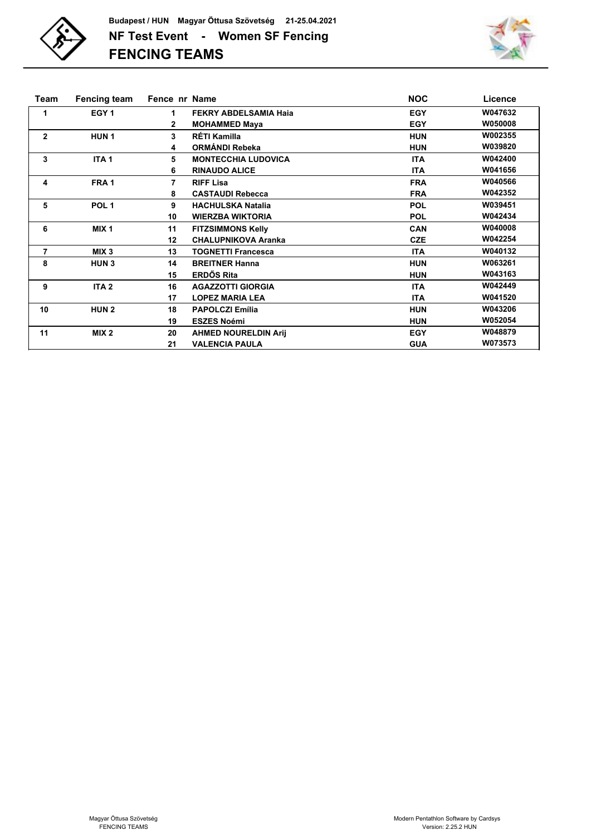



| Team           | <b>Fencing team</b> | Fence nr Name |                             | <b>NOC</b> | Licence |
|----------------|---------------------|---------------|-----------------------------|------------|---------|
| 1              | EGY <sub>1</sub>    | 1             | FEKRY ABDELSAMIA Haia       | <b>EGY</b> | W047632 |
|                |                     | 2             | <b>MOHAMMED Maya</b>        | <b>EGY</b> | W050008 |
| $\mathbf{2}$   | <b>HUN1</b>         | 3             | RÉTI Kamilla                | <b>HUN</b> | W002355 |
|                |                     | 4             | ORMÁNDI Rebeka              | <b>HUN</b> | W039820 |
| 3              | ITA <sub>1</sub>    | 5             | <b>MONTECCHIA LUDOVICA</b>  | <b>ITA</b> | W042400 |
|                |                     | 6             | <b>RINAUDO ALICE</b>        | <b>ITA</b> | W041656 |
| 4              | FRA <sub>1</sub>    | 7             | <b>RIFF Lisa</b>            | <b>FRA</b> | W040566 |
|                |                     | 8             | <b>CASTAUDI Rebecca</b>     | <b>FRA</b> | W042352 |
| 5              | POL <sub>1</sub>    | 9             | <b>HACHULSKA Natalia</b>    | <b>POL</b> | W039451 |
|                |                     | 10            | <b>WIERZBA WIKTORIA</b>     | <b>POL</b> | W042434 |
| 6              | MIX <sub>1</sub>    | 11            | <b>FITZSIMMONS Kelly</b>    | <b>CAN</b> | W040008 |
|                |                     | 12            | <b>CHALUPNIKOVA Aranka</b>  | <b>CZE</b> | W042254 |
| $\overline{7}$ | MIX <sub>3</sub>    | 13            | <b>TOGNETTI Francesca</b>   | <b>ITA</b> | W040132 |
| 8              | HUN <sub>3</sub>    | 14            | <b>BREITNER Hanna</b>       | <b>HUN</b> | W063261 |
|                |                     | 15            | <b>ERDŐS Rita</b>           | <b>HUN</b> | W043163 |
| 9              | ITA <sub>2</sub>    | 16            | <b>AGAZZOTTI GIORGIA</b>    | <b>ITA</b> | W042449 |
|                |                     | 17            | <b>LOPEZ MARIA LEA</b>      | <b>ITA</b> | W041520 |
| 10             | <b>HUN2</b>         | 18            | <b>PAPOLCZI Emília</b>      | <b>HUN</b> | W043206 |
|                |                     | 19            | <b>ESZES Noémi</b>          | <b>HUN</b> | W052054 |
| 11             | MIX <sub>2</sub>    | 20            | <b>AHMED NOURELDIN Arij</b> | <b>EGY</b> | W048879 |
|                |                     | 21            | <b>VALENCIA PAULA</b>       | <b>GUA</b> | W073573 |